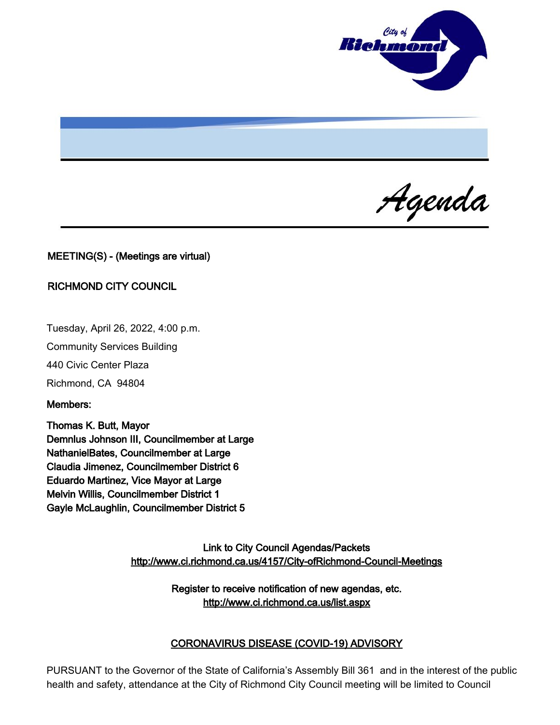

Agenda

## MEETING(S) - (Meetings are virtual)

#### RICHMOND CITY COUNCIL

Tuesday, April 26, 2022, 4:00 p.m.

Community Services Building

440 Civic Center Plaza

Richmond, CA 94804

Members:

Thomas K. Butt, Mayor Demnlus Johnson III, Councilmember at Large NathanielBates, Councilmember at Large Claudia Jimenez, Councilmember District 6 Eduardo Martinez, Vice Mayor at Large Melvin Willis, Councilmember District 1 Gayle McLaughlin, Councilmember District 5

> Link to City Council Agendas/Packets <http://www.ci.richmond.ca.us/4157/City-ofRichmond-Council-Meetings>

> > Register to receive notification of new agendas, etc. <http://www.ci.richmond.ca.us/list.aspx>

#### CORONAVIRUS DISEASE (COVID-19) ADVISORY

PURSUANT to the Governor of the State of California's Assembly Bill 361 and in the interest of the public health and safety, attendance at the City of Richmond City Council meeting will be limited to Council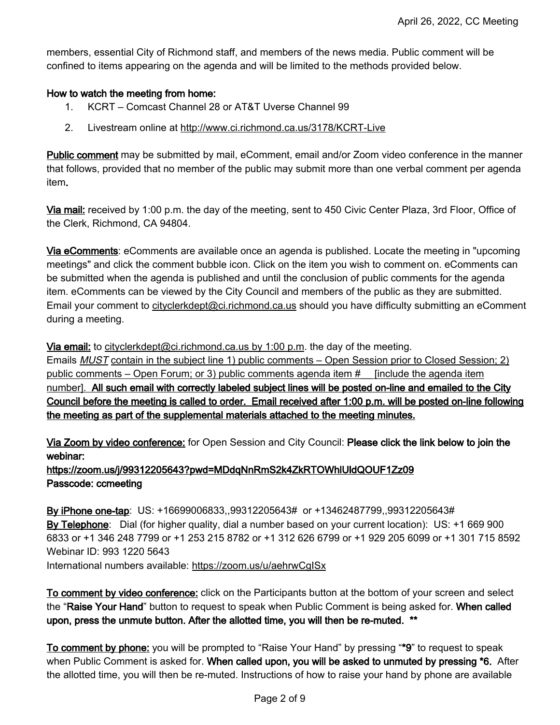members, essential City of Richmond staff, and members of the news media. Public comment will be confined to items appearing on the agenda and will be limited to the methods provided below.

## How to watch the meeting from home:

- 1. KCRT Comcast Channel 28 or AT&T Uverse Channel 99
- 2. Livestream online at <http://www.ci.richmond.ca.us/3178/KCRT-Live>

**Public comment** may be submitted by mail, eComment, email and/or Zoom video conference in the manner that follows, provided that no member of the public may submit more than one verbal comment per agenda item.

Via mail: received by 1:00 p.m. the day of the meeting, sent to 450 Civic Center Plaza, 3rd Floor, Office of the Clerk, Richmond, CA 94804.

Via eComments: eComments are available once an agenda is published. Locate the meeting in "upcoming meetings" and click the comment bubble icon. Click on the item you wish to comment on. eComments can be submitted when the agenda is published and until the conclusion of public comments for the agenda item. eComments can be viewed by the City Council and members of the public as they are submitted. Email your comment to [cityclerkdept@ci.richmond.ca.us](mailto:cityclerkdept@ci.richmond.ca.us) should you have difficulty submitting an eComment during a meeting.

Via email: to [cityclerkdept@ci.richmond.ca.us](mailto:cityclerkdept@ci.richmond.ca.us) by 1:00 p.m. the day of the meeting.

Emails **MUST** contain in the subject line 1) public comments – Open Session prior to Closed Session; 2) public comments – Open Forum; or 3) public comments agenda item #\_\_ [include the agenda item number]. All such email with correctly labeled subject lines will be posted on-line and emailed to the City Council before the meeting is called to order. Email received after 1:00 p.m. will be posted on-line following the meeting as part of the supplemental materials attached to the meeting minutes.

Via Zoom by video conference: for Open Session and City Council: Please click the link below to join the webinar:

# https://zoom.us/j/99312205643?pwd=MDdqNnRmS2k4ZkRTOWhlUldQOUF1Zz09 Passcode: ccmeeting

By iPhone one-tap: US: +16699006833,,99312205643# or +13462487799,,99312205643# By Telephone: Dial (for higher quality, dial a number based on your current location): US: +1 669 900 6833 or +1 346 248 7799 or +1 253 215 8782 or +1 312 626 6799 or +1 929 205 6099 or +1 301 715 8592 Webinar ID: 993 1220 5643 International numbers available: <https://zoom.us/u/aehrwCgISx>

To comment by video conference: click on the Participants button at the bottom of your screen and select the "Raise Your Hand" button to request to speak when Public Comment is being asked for. When called upon, press the unmute button. After the allotted time, you will then be re-muted. \*\*

To comment by phone: you will be prompted to "Raise Your Hand" by pressing "\*9" to request to speak when Public Comment is asked for. When called upon, you will be asked to unmuted by pressing \*6. After the allotted time, you will then be re-muted. Instructions of how to raise your hand by phone are available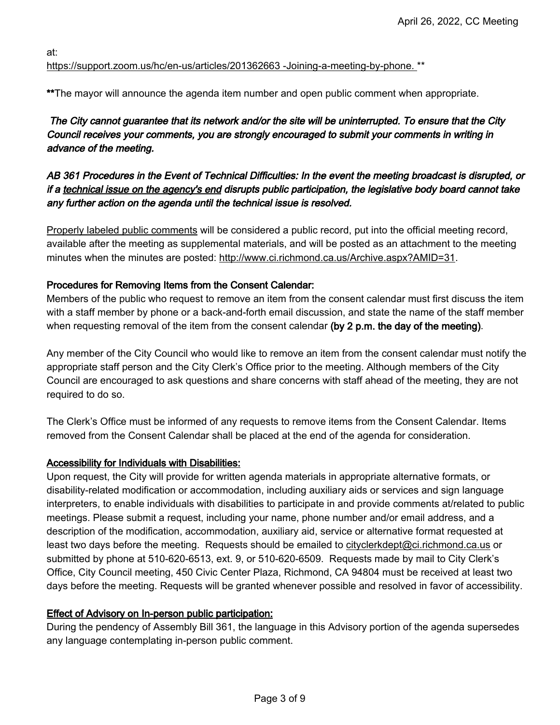at:

## [https://support.zoom.us/hc/en-us/articles/201362663 -Joining-a-meeting-by-phone.](https://support.zoom.us/hc/en-us/articles/201362663%20-Joining-a-meeting-by-phone.) \*\*

\*\*The mayor will announce the agenda item number and open public comment when appropriate.

# The City cannot guarantee that its network and/or the site will be uninterrupted. To ensure that the City Council receives your comments, you are strongly encouraged to submit your comments in writing in advance of the meeting.

# AB 361 Procedures in the Event of Technical Difficulties: In the event the meeting broadcast is disrupted, or if a technical issue on the agency's end disrupts public participation, the legislative body board cannot take any further action on the agenda until the technical issue is resolved.

Properly labeled public comments will be considered a public record, put into the official meeting record, available after the meeting as supplemental materials, and will be posted as an attachment to the meeting minutes when the minutes are posted: [http://www.ci.richmond.ca.us/Archive.aspx?AMID=31.](http://www.ci.richmond.ca.us/Archive.aspx?AMID=31)

## Procedures for Removing Items from the Consent Calendar:

Members of the public who request to remove an item from the consent calendar must first discuss the item with a staff member by phone or a back-and-forth email discussion, and state the name of the staff member when requesting removal of the item from the consent calendar (by  $2$  p.m. the day of the meeting).

Any member of the City Council who would like to remove an item from the consent calendar must notify the appropriate staff person and the City Clerk's Office prior to the meeting. Although members of the City Council are encouraged to ask questions and share concerns with staff ahead of the meeting, they are not required to do so.

The Clerk's Office must be informed of any requests to remove items from the Consent Calendar. Items removed from the Consent Calendar shall be placed at the end of the agenda for consideration.

# Accessibility for Individuals with Disabilities:

Upon request, the City will provide for written agenda materials in appropriate alternative formats, or disability-related modification or accommodation, including auxiliary aids or services and sign language interpreters, to enable individuals with disabilities to participate in and provide comments at/related to public meetings. Please submit a request, including your name, phone number and/or email address, and a description of the modification, accommodation, auxiliary aid, service or alternative format requested at least two days before the meeting. Requests should be emailed to [cityclerkdept@ci.richmond.ca.us](mailto:cityclerkdept@ci.richmond.ca.us) or submitted by phone at 510-620-6513, ext. 9, or 510-620-6509. Requests made by mail to City Clerk's Office, City Council meeting, 450 Civic Center Plaza, Richmond, CA 94804 must be received at least two days before the meeting. Requests will be granted whenever possible and resolved in favor of accessibility.

# Effect of Advisory on In-person public participation:

During the pendency of Assembly Bill 361, the language in this Advisory portion of the agenda supersedes any language contemplating in-person public comment.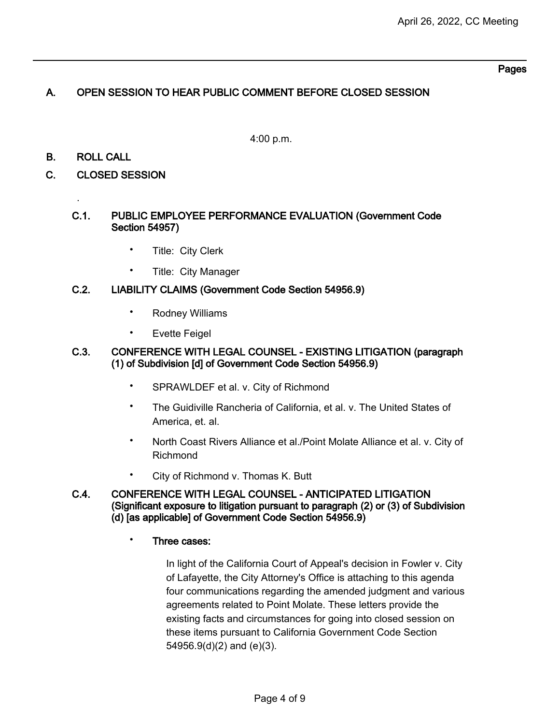## Pages

# A. OPEN SESSION TO HEAR PUBLIC COMMENT BEFORE CLOSED SESSION

4:00 p.m.

## B. ROLL CALL

.

## C. CLOSED SESSION

#### C.1. PUBLIC EMPLOYEE PERFORMANCE EVALUATION (Government Code Section 54957)

- Title: City Clerk
- Title: City Manager

#### C.2. LIABILITY CLAIMS (Government Code Section 54956.9)

- Rodney Williams
- **Evette Feigel**

#### C.3. CONFERENCE WITH LEGAL COUNSEL - EXISTING LITIGATION (paragraph (1) of Subdivision [d] of Government Code Section 54956.9)

- SPRAWLDEF et al. v. City of Richmond
- The Guidiville Rancheria of California, et al. v. The United States of America, et. al.
- North Coast Rivers Alliance et al./Point Molate Alliance et al. v. City of Richmond
- City of Richmond v. Thomas K. Butt

#### C.4. CONFERENCE WITH LEGAL COUNSEL - ANTICIPATED LITIGATION (Significant exposure to litigation pursuant to paragraph (2) or (3) of Subdivision (d) [as applicable] of Government Code Section 54956.9)

#### • Three cases:

In light of the California Court of Appeal's decision in Fowler v. City of Lafayette, the City Attorney's Office is attaching to this agenda four communications regarding the amended judgment and various agreements related to Point Molate. These letters provide the existing facts and circumstances for going into closed session on these items pursuant to California Government Code Section 54956.9(d)(2) and (e)(3).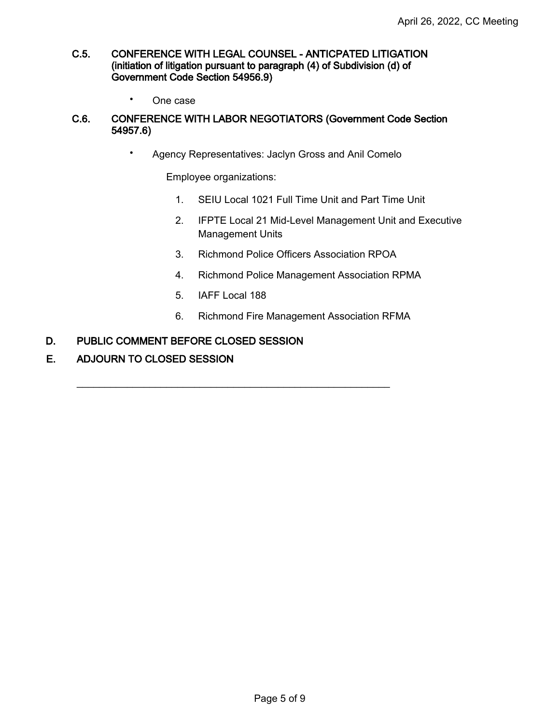#### C.5. CONFERENCE WITH LEGAL COUNSEL - ANTICPATED LITIGATION (initiation of litigation pursuant to paragraph (4) of Subdivision (d) of Government Code Section 54956.9)

• One case

### C.6. CONFERENCE WITH LABOR NEGOTIATORS (Government Code Section 54957.6)

• Agency Representatives: Jaclyn Gross and Anil Comelo

Employee organizations:

- 1. SEIU Local 1021 Full Time Unit and Part Time Unit
- 2. IFPTE Local 21 Mid-Level Management Unit and Executive Management Units
- 3. Richmond Police Officers Association RPOA
- 4. Richmond Police Management Association RPMA
- 5. IAFF Local 188

\_\_\_\_\_\_\_\_\_\_\_\_\_\_\_\_\_\_\_\_\_\_\_\_\_\_\_\_\_\_\_\_\_\_\_\_\_\_\_\_\_\_\_\_\_\_\_\_\_\_\_\_\_\_\_\_

6. Richmond Fire Management Association RFMA

#### D. PUBLIC COMMENT BEFORE CLOSED SESSION

E. ADJOURN TO CLOSED SESSION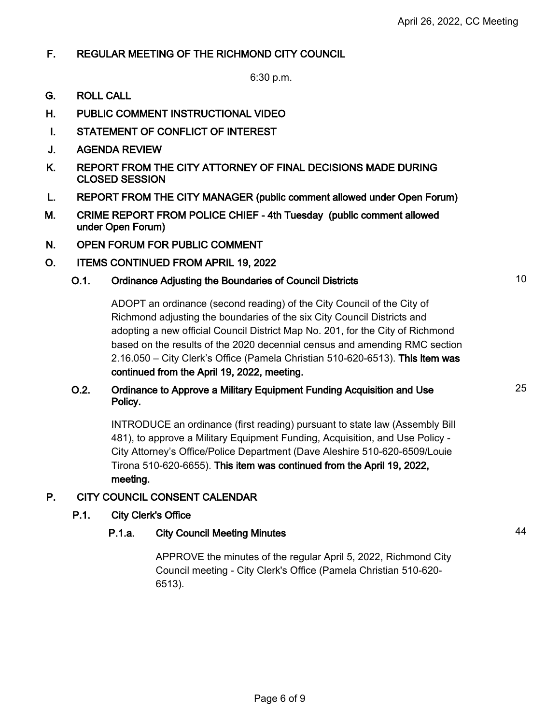25

# F. REGULAR MEETING OF THE RICHMOND CITY COUNCIL

6:30 p.m.

- G. ROLL CALL
- H. PUBLIC COMMENT INSTRUCTIONAL VIDEO
- I. STATEMENT OF CONFLICT OF INTEREST
- J. AGENDA REVIEW
- K. REPORT FROM THE CITY ATTORNEY OF FINAL DECISIONS MADE DURING CLOSED SESSION
- L. REPORT FROM THE CITY MANAGER (public comment allowed under Open Forum)
- M. CRIME REPORT FROM POLICE CHIEF 4th Tuesday (public comment allowed under Open Forum)
- N. OPEN FORUM FOR PUBLIC COMMENT
- O. ITEMS CONTINUED FROM APRIL 19, 2022

# O.1. Ordinance Adjusting the Boundaries of Council Districts 10

ADOPT an ordinance (second reading) of the City Council of the City of Richmond adjusting the boundaries of the six City Council Districts and adopting a new official Council District Map No. 201, for the City of Richmond based on the results of the 2020 decennial census and amending RMC section 2.16.050 – City Clerk's Office (Pamela Christian 510-620-6513). This item was continued from the April 19, 2022, meeting.

## O.2. Ordinance to Approve a Military Equipment Funding Acquisition and Use Policy.

INTRODUCE an ordinance (first reading) pursuant to state law (Assembly Bill 481), to approve a Military Equipment Funding, Acquisition, and Use Policy - City Attorney's Office/Police Department (Dave Aleshire 510-620-6509/Louie Tirona 510-620-6655). This item was continued from the April 19, 2022, meeting.

# P. CITY COUNCIL CONSENT CALENDAR

# P.1. City Clerk's Office

# P.1.a. City Council Meeting Minutes **1998** Council Meeting Minutes **1998**

APPROVE the minutes of the regular April 5, 2022, Richmond City Council meeting - City Clerk's Office (Pamela Christian 510-620- 6513).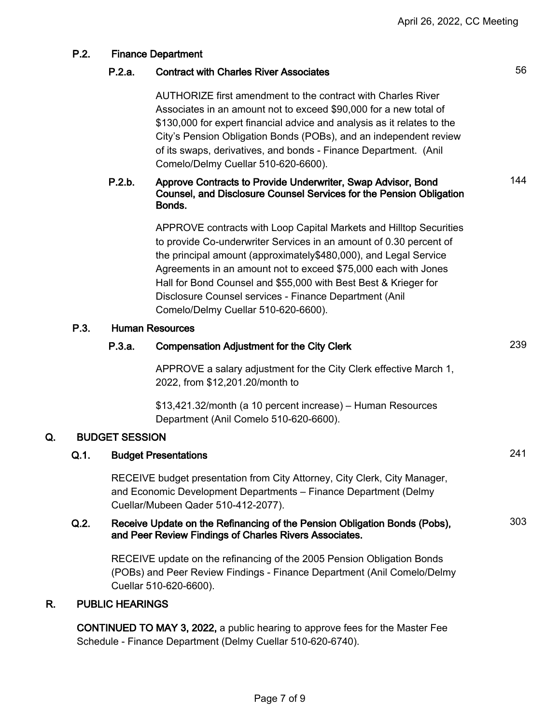# P.2.a. Contract with Charles River Associates 66 AUTHORIZE first amendment to the contract with Charles River Associates in an amount not to exceed \$90,000 for a new total of \$130,000 for expert financial advice and analysis as it relates to the City's Pension Obligation Bonds (POBs), and an independent review of its swaps, derivatives, and bonds - Finance Department. (Anil Comelo/Delmy Cuellar 510-620-6600). P.2.b. Approve Contracts to Provide Underwriter, Swap Advisor, Bond Counsel, and Disclosure Counsel Services for the Pension Obligation Bonds. 144 APPROVE contracts with Loop Capital Markets and Hilltop Securities to provide Co-underwriter Services in an amount of 0.30 percent of the principal amount (approximately\$480,000), and Legal Service Agreements in an amount not to exceed \$75,000 each with Jones Hall for Bond Counsel and \$55,000 with Best Best & Krieger for Disclosure Counsel services - Finance Department (Anil Comelo/Delmy Cuellar 510-620-6600). P.3. Human Resources P.3.a. Compensation Adjustment for the City Clerk 239 APPROVE a salary adjustment for the City Clerk effective March 1, 2022, from \$12,201.20/month to \$13,421.32/month (a 10 percent increase) – Human Resources Department (Anil Comelo 510-620-6600). Q. BUDGET SESSION Q.1. Budget Presentations 241 RECEIVE budget presentation from City Attorney, City Clerk, City Manager, and Economic Development Departments – Finance Department (Delmy Cuellar/Mubeen Qader 510-412-2077). Q.2. Receive Update on the Refinancing of the Pension Obligation Bonds (Pobs), and Peer Review Findings of Charles Rivers Associates. 303 RECEIVE update on the refinancing of the 2005 Pension Obligation Bonds (POBs) and Peer Review Findings - Finance Department (Anil Comelo/Delmy Cuellar 510-620-6600). R. PUBLIC HEARINGS

P.2. Finance Department

CONTINUED TO MAY 3, 2022, a public hearing to approve fees for the Master Fee Schedule - Finance Department (Delmy Cuellar 510-620-6740).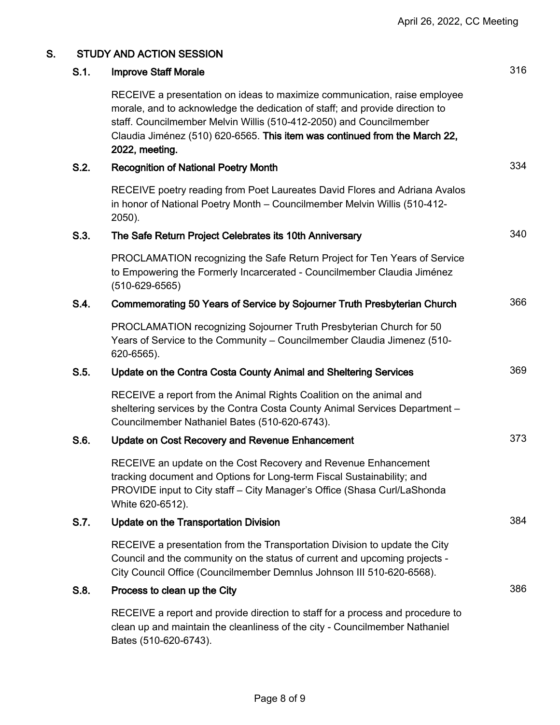| S. | <b>STUDY AND ACTION SESSION</b> |                                                                                                                                                                                                                                                                                                                                  |     |
|----|---------------------------------|----------------------------------------------------------------------------------------------------------------------------------------------------------------------------------------------------------------------------------------------------------------------------------------------------------------------------------|-----|
|    | S.1.                            | <b>Improve Staff Morale</b>                                                                                                                                                                                                                                                                                                      | 316 |
|    |                                 | RECEIVE a presentation on ideas to maximize communication, raise employee<br>morale, and to acknowledge the dedication of staff; and provide direction to<br>staff. Councilmember Melvin Willis (510-412-2050) and Councilmember<br>Claudia Jiménez (510) 620-6565. This item was continued from the March 22,<br>2022, meeting. |     |
|    | S.2.                            | <b>Recognition of National Poetry Month</b>                                                                                                                                                                                                                                                                                      | 334 |
|    |                                 | RECEIVE poetry reading from Poet Laureates David Flores and Adriana Avalos<br>in honor of National Poetry Month - Councilmember Melvin Willis (510-412-<br>2050).                                                                                                                                                                |     |
|    | S.3.                            | The Safe Return Project Celebrates its 10th Anniversary                                                                                                                                                                                                                                                                          | 340 |
|    |                                 | PROCLAMATION recognizing the Safe Return Project for Ten Years of Service<br>to Empowering the Formerly Incarcerated - Councilmember Claudia Jiménez<br>$(510 - 629 - 6565)$                                                                                                                                                     |     |
|    | S.4.                            | Commemorating 50 Years of Service by Sojourner Truth Presbyterian Church                                                                                                                                                                                                                                                         | 366 |
|    |                                 | PROCLAMATION recognizing Sojourner Truth Presbyterian Church for 50<br>Years of Service to the Community - Councilmember Claudia Jimenez (510-<br>620-6565).                                                                                                                                                                     |     |
|    | S.5.                            | Update on the Contra Costa County Animal and Sheltering Services                                                                                                                                                                                                                                                                 | 369 |
|    |                                 | RECEIVE a report from the Animal Rights Coalition on the animal and<br>sheltering services by the Contra Costa County Animal Services Department -<br>Councilmember Nathaniel Bates (510-620-6743).                                                                                                                              |     |
|    | S.6.                            | <b>Update on Cost Recovery and Revenue Enhancement</b>                                                                                                                                                                                                                                                                           | 373 |
|    |                                 | RECEIVE an update on the Cost Recovery and Revenue Enhancement<br>tracking document and Options for Long-term Fiscal Sustainability; and<br>PROVIDE input to City staff - City Manager's Office (Shasa Curl/LaShonda<br>White 620-6512).                                                                                         |     |
|    | S.7.                            | <b>Update on the Transportation Division</b>                                                                                                                                                                                                                                                                                     | 384 |
|    |                                 | RECEIVE a presentation from the Transportation Division to update the City<br>Council and the community on the status of current and upcoming projects -<br>City Council Office (Councilmember Demnlus Johnson III 510-620-6568).                                                                                                |     |
|    | S.8.                            | Process to clean up the City                                                                                                                                                                                                                                                                                                     | 386 |
|    |                                 | RECEIVE a report and provide direction to staff for a process and procedure to<br>clean up and maintain the cleanliness of the city - Councilmember Nathaniel                                                                                                                                                                    |     |

Bates (510-620-6743).